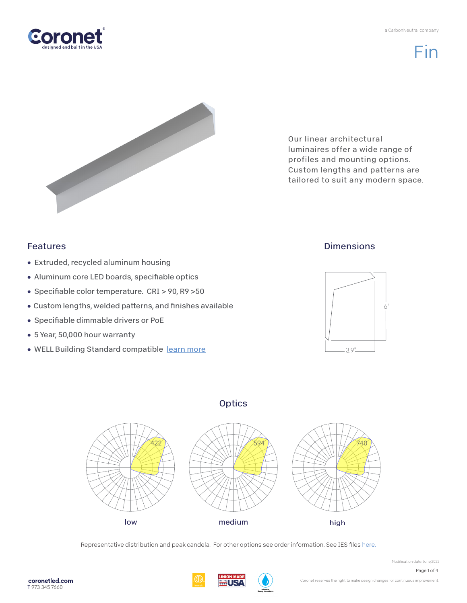a CarbonNeutral company



Fin



Our linear architectural luminaires offer a wide range of profiles and mounting options. Custom lengths and patterns are tailored to suit any modern space.

### Features

- Extruded, recycled aluminum housing
- Aluminum core LED boards, specifiable optics
- Specifiable color temperature. CRI > 90, R9 > 50
- Custom lengths, welded patterns, and finishes available
- Specifiable dimmable drivers or PoE
- 5 Year, 50,000 hour warranty
- WELL Building Standard compatible [learn more](https://coronetled.com/well-v2-standard/)

## **Dimensions**



## **Optics**



Representative distribution and peak candela. For other options see order information. See IES file[s here.](https://coronetled.com/downloads/)

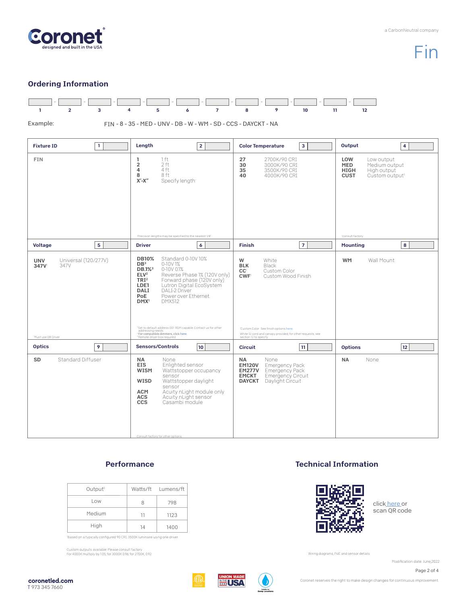

# Fin

#### Ordering Information



#### **Performance**

| Output <sup>1</sup> |    | Watts/ft Lumens/ft |
|---------------------|----|--------------------|
| Low                 | я  | 798                |
| Medium              | 11 | 1123               |
| High                | 14 | 1400               |

'Based on a typically configured 90 CRI, 3500K luminaire using one driver.

Custom outputs available. Please consult factory. For 4000K multiply by 1.05; for 3000K 0.96; for 2700K, 0.92.

#### Technical Information



clic[k here o](https://coronetled.com/warranty-technical-info/)r scan QR code

Wiring diagrams, PoE and sensor details

Modification date: June.2022

Page 2 of 4



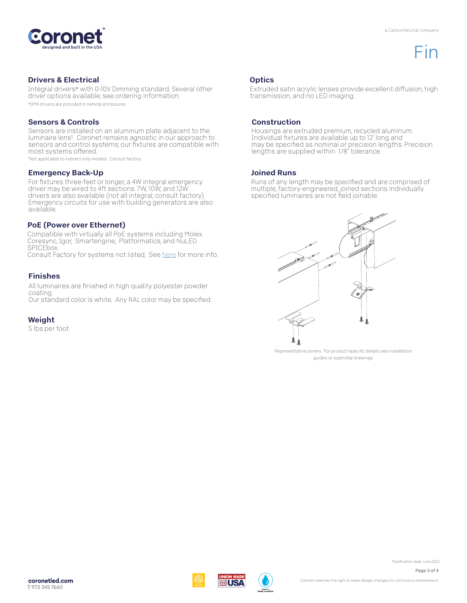

## Fin

#### Drivers & Electrical

Integral drivers\* with 0-10V Dimming standard. Several other driver options available; see ordering information. \*DMX drivers are provided in remote enclosures.

#### Sensors & Controls

Sensors are installed on an aluminum plate adjacent to the luminaire lens1. Coronet remains agnostic in our approach to sensors and control systems; our fixtures are compatible with most systems offered.

1Not applicable to indirect only models. Consult factory.

#### Emergency Back-Up

For fixtures three-feet or longer, a 4W integral emergency driver may be wired to 4ft sections. 7W, 10W, and 12W drivers are also available (not all integral; consult factory). Emergency circuits for use with building generators are also available.

#### PoE (Power over Ethernet)

Compatible with virtually all PoE systems including Molex Coresync, Igor, Smartengine, Platformatics, and NuLED SPICEbox. Consult Factory for systems not listed, See [here f](https://coronetled.com/warranty-technical-info/)or more info.

#### Finishes

All luminaires are finished in high quality polyester powder coating. Our standard color is white. Any RAL color may be specified.

#### Weight

5 lbs per foot

#### **Optics**

Extruded satin acrylic lenses provide excellent diffusion, high transmission, and no LED imaging.

#### Construction

Housings are extruded premium, recycled aluminum. Individual fixtures are available up to 12' long and may be specified as nominal or precision lengths. Precision lengths are supplied within 1/8" tolerance.

#### Joined Runs

WIR.

Runs of any length may be specified and are comprised of multiple, factory-engineered, joined sections. Individually specified luminaires are not field joinable.



Representative joinery. For product specific details see installation guides or submittal drawings.